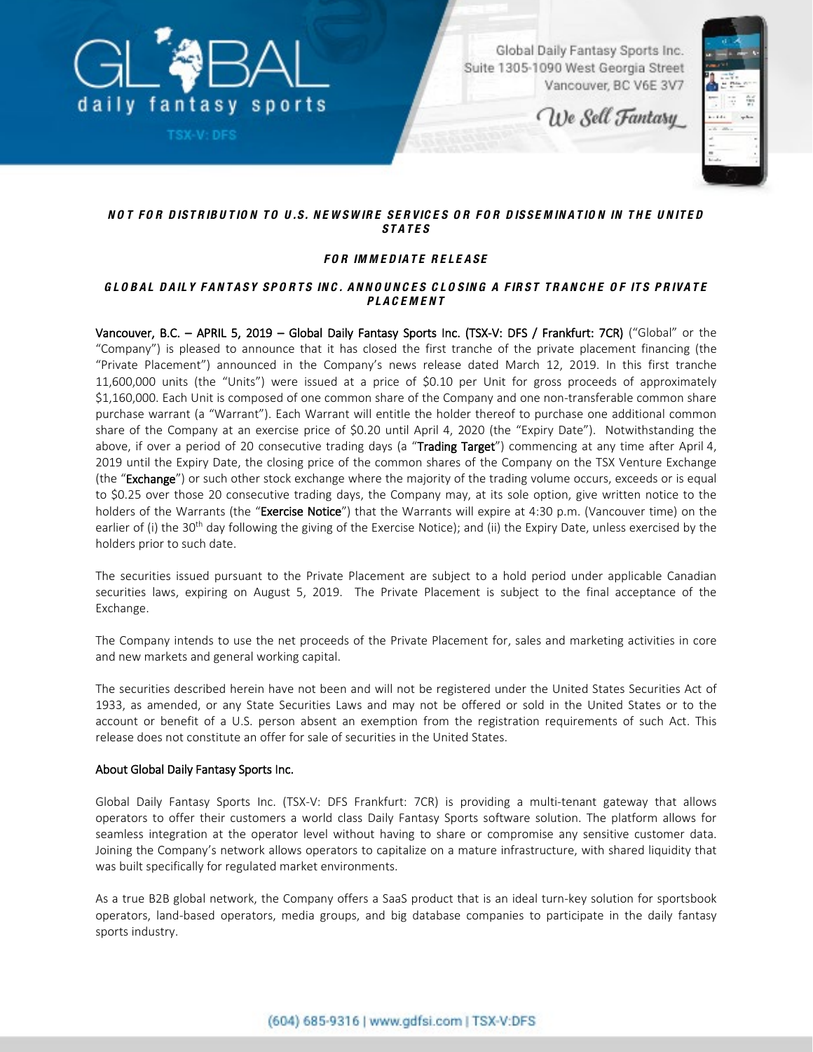

**TSX-V: DFS** 

Global Daily Fantasy Sports Inc. Suite 1305-1090 West Georgia Street Vancouver, BC V6E 3V7

We Sell Fantasy



## *NO T FO R D ISTRIBU TIO N TO U .S. NE W SW IRE SE RVIC E S O R FO R D ISSE M IN AT IO N IN T H E U N IT E D STATES*

# *FO R IM M E D IATE RE LE ASE*

### *G LO BAL D AILY FANTASY SPO RTS INC . ANNOUNCES C LO SING A FIRST TRANC H E O F ITS PRIVATE PLACEMENT*

Vancouver, B.C. – APRIL 5, 2019 – Global Daily Fantasy Sports Inc. (TSX-V: DFS / Frankfurt: 7CR) ("Global" or the "Company") is pleased to announce that it has closed the first tranche of the private placement financing (the "Private Placement") announced in the Company's news release dated March 12, 2019. In this first tranche 11,600,000 units (the "Units") were issued at a price of \$0.10 per Unit for gross proceeds of approximately \$1,160,000. Each Unit is composed of one common share of the Company and one non-transferable common share purchase warrant (a "Warrant"). Each Warrant will entitle the holder thereof to purchase one additional common share of the Company at an exercise price of \$0.20 until April 4, 2020 (the "Expiry Date"). Notwithstanding the above, if over a period of 20 consecutive trading days (a "Trading Target") commencing at any time after April 4, 2019 until the Expiry Date, the closing price of the common shares of the Company on the TSX Venture Exchange (the "Exchange") or such other stock exchange where the majority of the trading volume occurs, exceeds or is equal to \$0.25 over those 20 consecutive trading days, the Company may, at its sole option, give written notice to the holders of the Warrants (the "Exercise Notice") that the Warrants will expire at 4:30 p.m. (Vancouver time) on the earlier of (i) the 30<sup>th</sup> day following the giving of the Exercise Notice); and (ii) the Expiry Date, unless exercised by the holders prior to such date.

The securities issued pursuant to the Private Placement are subject to a hold period under applicable Canadian securities laws, expiring on August 5, 2019. The Private Placement is subject to the final acceptance of the Exchange.

The Company intends to use the net proceeds of the Private Placement for, sales and marketing activities in core and new markets and general working capital.

The securities described herein have not been and will not be registered under the United States Securities Act of 1933, as amended, or any State Securities Laws and may not be offered or sold in the United States or to the account or benefit of a U.S. person absent an exemption from the registration requirements of such Act. This release does not constitute an offer for sale of securities in the United States.

#### About Global Daily Fantasy Sports Inc.

Global Daily Fantasy Sports Inc. (TSX-V: DFS Frankfurt: 7CR) is providing a multi-tenant gateway that allows operators to offer their customers a world class Daily Fantasy Sports software solution. The platform allows for seamless integration at the operator level without having to share or compromise any sensitive customer data. Joining the Company's network allows operators to capitalize on a mature infrastructure, with shared liquidity that was built specifically for regulated market environments.

As a true B2B global network, the Company offers a SaaS product that is an ideal turn-key solution for sportsbook operators, land-based operators, media groups, and big database companies to participate in the daily fantasy sports industry.